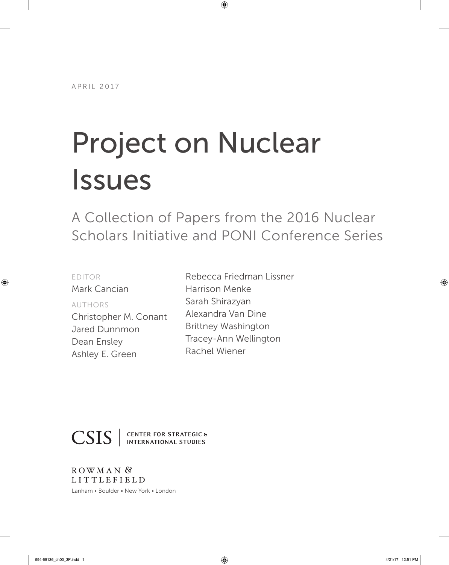# Project on Nuclear Issues

A Collection of Papers from the 2016 Nuclear Scholars Initiative and PONI Conference Series

| <b>EDITOR</b>         | Rebecca Friedman Lissner   |
|-----------------------|----------------------------|
| Mark Cancian          | <b>Harrison Menke</b>      |
| <b>AUTHORS</b>        | Sarah Shirazyan            |
| Christopher M. Conant | Alexandra Van Dine         |
| Jared Dunnmon         | <b>Brittney Washington</b> |
| Dean Ensley           | Tracey-Ann Wellington      |
| Ashley E. Green       | Rachel Wiener              |
|                       |                            |



**CSIS** SENTER FOR STRATEGIC &

ROWMAN<sup>&</sup> **LITTLEFIELD** 

Lanham • Boulder • New York • London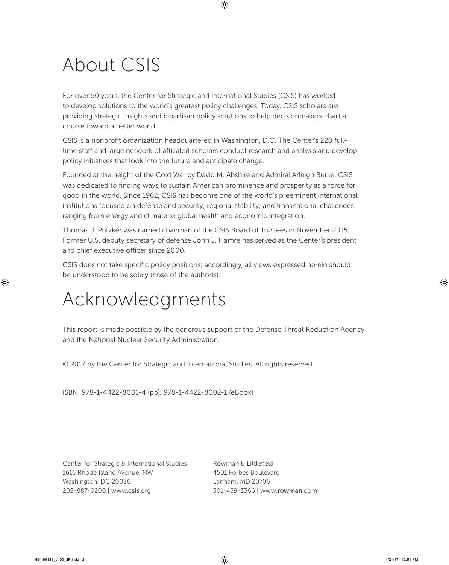## About CSIS

For over 50 years, the Center for Strategic and International Studies (CSIS) has worked to develop solutions to the world's greatest policy challenges. Today, CSIS scholars are providing strategic insights and bipartisan policy solutions to help decisionmakers chart a course toward a better world.

CSIS is a nonprofit organization headquartered in Washington, D.C. The Center's 220 fulltime staff and large network of affiliated scholars conduct research and analysis and develop policy initiatives that look into the future and anticipate change.

Founded at the height of the Cold War by David M. Abshire and Admiral Arleigh Burke, CSIS was dedicated to finding ways to sustain American prominence and prosperity as a force for good in the world. Since 1962, CSIS has become one of the world's preeminent international institutions focused on defense and security; regional stability; and transnational challenges ranging from energy and climate to global health and economic integration.

Thomas J. Pritzker was named chairman of the CSIS Board of Trustees in November 2015. Former U.S. deputy secretary of defense John J. Hamre has served as the Center's president and chief executive officer since 2000.

CSIS does not take specific policy positions; accordingly, all views expressed herein should be understood to be solely those of the author(s).

## Acknowledgments

This report is made possible by the generous support of the Defense Threat Reduction Agency and the National Nuclear Security Administration.

© 2017 by the Center for Strategic and International Studies. All rights reserved.

ISBN: 978-1-4422-8001-4 (pb); 978-1-4422-8002-1 (eBook)

Center for Strategic & International Studies Rowman & Littlefield 1616 Rhode Island Avenue, NW 4501 Forbes Boulevard Washington, DC 20036 Lanham, MD 20706 202-887-0200 | [www.](http://www.csis.org)csis.org 301-459-3366 | www.[rowman](http://www.rowman.com).com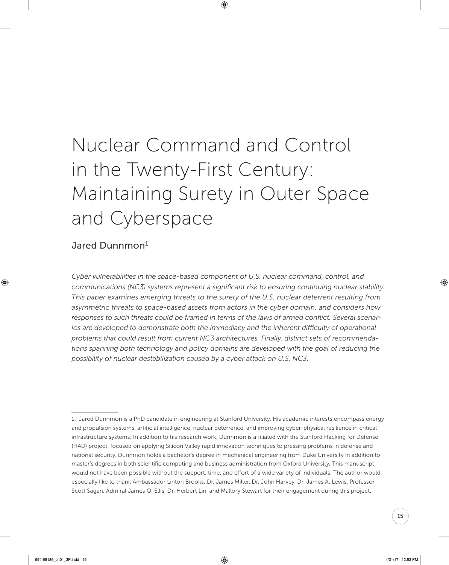## Nuclear Command and Control in the Twenty-First Century: Maintaining Surety in Outer Space and Cyberspace

## Jared Dunnmon<sup>1</sup>

*Cyber vulnerabilities in the space-based component of U.S. nuclear command, control, and communications (NC3) systems represent a significant risk to ensuring continuing nuclear stability. This paper examines emerging threats to the surety of the U.S. nuclear deterrent resulting from asymmetric threats to space-based assets from actors in the cyber domain, and considers how responses to such threats could be framed in terms of the laws of armed conflict. Several scenarios are developed to demonstrate both the immediacy and the inherent difficulty of operational problems that could result from current NC3 architectures. Finally, distinct sets of recommendations spanning both technology and policy domains are developed with the goal of reducing the possibility of nuclear destabilization caused by a cyber attack on U.S. NC3.*

<sup>1.</sup> Jared Dunnmon is a PhD candidate in engineering at Stanford University. His academic interests encompass energy and propulsion systems, artificial intelligence, nuclear deterrence, and improving cyber-physical resilience in critical infrastructure systems. In addition to his research work, Dunnmon is affiliated with the Stanford Hacking for Defense (H4D) project, focused on applying Silicon Valley rapid innovation techniques to pressing problems in defense and national security. Dunnmon holds a bachelor's degree in mechanical engineering from Duke University in addition to master's degrees in both scientific computing and business administration from Oxford University. This manuscript would not have been possible without the support, time, and effort of a wide variety of individuals. The author would especially like to thank Ambassador Linton Brooks, Dr. James Miller, Dr. John Harvey, Dr. James A. Lewis, Professor Scott Sagan, Admiral James O. Ellis, Dr. Herbert Lin, and Mallory Stewart for their engagement during this project.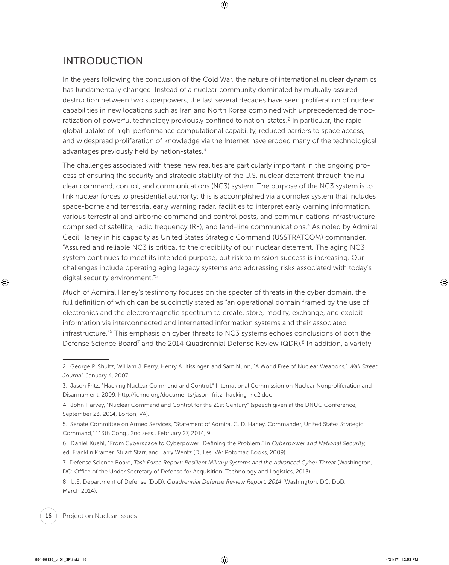## INTRODUCTION

In the years following the conclusion of the Cold War, the nature of international nuclear dynamics has fundamentally changed. Instead of a nuclear community dominated by mutually assured destruction between two superpowers, the last several decades have seen proliferation of nuclear capabilities in new locations such as Iran and North Korea combined with unprecedented democratization of powerful technology previously confined to nation-states.<sup>2</sup> In particular, the rapid global uptake of high-performance computational capability, reduced barriers to space access, and widespread proliferation of knowledge via the Internet have eroded many of the technological advantages previously held by nation-states. $3$ 

The challenges associated with these new realities are particularly important in the ongoing process of ensuring the security and strategic stability of the U.S. nuclear deterrent through the nuclear command, control, and communications (NC3) system. The purpose of the NC3 system is to link nuclear forces to presidential authority; this is accomplished via a complex system that includes space-borne and terrestrial early warning radar, facilities to interpret early warning information, various terrestrial and airborne command and control posts, and communications infrastructure comprised of satellite, radio frequency (RF), and land-line communications.<sup>4</sup> As noted by Admiral Cecil Haney in his capacity as United States Strategic Command (USSTRATCOM) commander, "Assured and reliable NC3 is critical to the credibility of our nuclear deterrent. The aging NC3 system continues to meet its intended purpose, but risk to mission success is increasing. Our challenges include operating aging legacy systems and addressing risks associated with today's digital security environment."5

Much of Admiral Haney's testimony focuses on the specter of threats in the cyber domain, the full definition of which can be succinctly stated as "an operational domain framed by the use of electronics and the electromagnetic spectrum to create, store, modify, exchange, and exploit information via interconnected and internetted information systems and their associated infrastructure."6 This emphasis on cyber threats to NC3 systems echoes conclusions of both the Defense Science Board<sup>7</sup> and the 2014 Quadrennial Defense Review (QDR).<sup>8</sup> In addition, a variety

- 5. Senate Committee on Armed Services, "Statement of Admiral C. D. Haney, Commander, United States Strategic Command," 113th Cong., 2nd sess., February 27, 2014, 9.
- 6. Daniel Kuehl, "From Cyberspace to Cyberpower: Defining the Problem," in *Cyberpower and National Security*, ed. Franklin Kramer, Stuart Starr, and Larry Wentz (Dulles, VA: Potomac Books, 2009).
- 7. Defense Science Board, *Task Force Report: Resilient Military Systems and the Advanced Cyber Threat* (Washington, DC: Office of the Under Secretary of Defense for Acquisition, Technology and Logistics, 2013).

8. U.S. Department of Defense (DoD), *Quadrennial Defense Review Report, 2014* (Washington, DC: DoD, March 2014).

<sup>2.</sup> George P. Shultz, William J. Perry, Henry A. Kissinger, and Sam Nunn, "A World Free of Nuclear Weapons," *Wall Street Journal*, January 4, 2007.

<sup>3.</sup> Jason Fritz, "Hacking Nuclear Command and Control," International Commission on Nuclear Nonproliferation and Disarmament, 2009, [http://icnnd.org/documents/jason\\_fritz\\_hacking\\_nc2.doc.](http://icnnd.org/documents/jason_fritz_hacking_nc2.doc)

<sup>4.</sup> John Harvey, "Nuclear Command and Control for the 21st Century" (speech given at the DNUG Conference, September 23, 2014, Lorton, VA).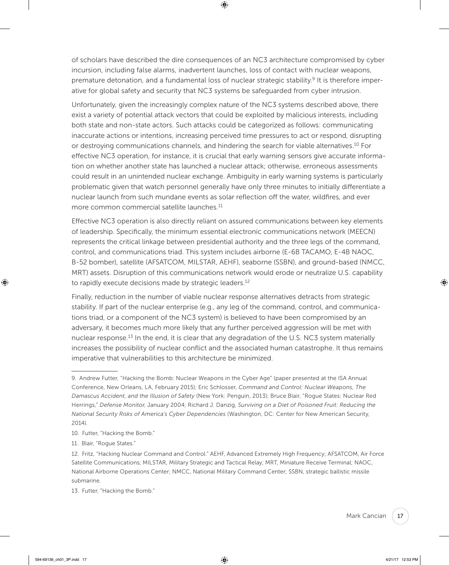of scholars have described the dire consequences of an NC3 architecture compromised by cyber incursion, including false alarms, inadvertent launches, loss of contact with nuclear weapons, premature detonation, and a fundamental loss of nuclear strategic stability.<sup>9</sup> It is therefore imperative for global safety and security that NC3 systems be safeguarded from cyber intrusion.

Unfortunately, given the increasingly complex nature of the NC3 systems described above, there exist a variety of potential attack vectors that could be exploited by malicious interests, including both state and non-state actors. Such attacks could be categorized as follows: communicating inaccurate actions or intentions, increasing perceived time pressures to act or respond, disrupting or destroying communications channels, and hindering the search for viable alternatives.10 For effective NC3 operation, for instance, it is crucial that early warning sensors give accurate information on whether another state has launched a nuclear attack; otherwise, erroneous assessments could result in an unintended nuclear exchange. Ambiguity in early warning systems is particularly problematic given that watch personnel generally have only three minutes to initially differentiate a nuclear launch from such mundane events as solar reflection off the water, wildfires, and ever more common commercial satellite launches.<sup>11</sup>

Effective NC3 operation is also directly reliant on assured communications between key elements of leadership. Specifically, the minimum essential electronic communications network (MEECN) represents the critical linkage between presidential authority and the three legs of the command, control, and communications triad. This system includes airborne (E-6B TACAMO, E-4B NAOC, B-52 bomber), satellite (AFSATCOM, MILSTAR, AEHF), seaborne (SSBN), and ground-based (NMCC, MRT) assets. Disruption of this communications network would erode or neutralize U.S. capability to rapidly execute decisions made by strategic leaders.<sup>12</sup>

Finally, reduction in the number of viable nuclear response alternatives detracts from strategic stability. If part of the nuclear enterprise (e.g., any leg of the command, control, and communications triad, or a component of the NC3 system) is believed to have been compromised by an adversary, it becomes much more likely that any further perceived aggression will be met with nuclear response.<sup>13</sup> In the end, it is clear that any degradation of the U.S. NC3 system materially increases the possibility of nuclear conflict and the associated human catastrophe. It thus remains imperative that vulnerabilities to this architecture be minimized.

- 10. Futter, "Hacking the Bomb."
- 11. Blair, "Rogue States."

13. Futter, "Hacking the Bomb."

<sup>9.</sup> Andrew Futter, "Hacking the Bomb: Nuclear Weapons in the Cyber Age" (paper presented at the ISA Annual Conference, New Orleans, LA, February 2015); Eric Schlosser, *Command and Control: Nuclear Weapons, The Damascus Accident, and the Illusion of Safety* (New York: Penguin, 2013); Bruce Blair, "Rogue States: Nuclear Red Herrings," *Defense Monitor*, January 2004; Richard J. Danzig, *Surviving on a Diet of Poisoned Fruit: Reducing the National Security Risks of America's Cyber Dependencies* (Washington, DC: Center for New American Security, 2014).

<sup>12.</sup> Fritz, "Hacking Nuclear Command and Control." AEHF, Advanced Extremely High Frequency; AFSATCOM, Air Force Satellite Communications; MILSTAR, Military Strategic and Tactical Relay; MRT, Miniature Receive Terminal; NAOC, National Airborne Operations Center; NMCC, National Military Command Center; SSBN, strategic ballistic missile submarine.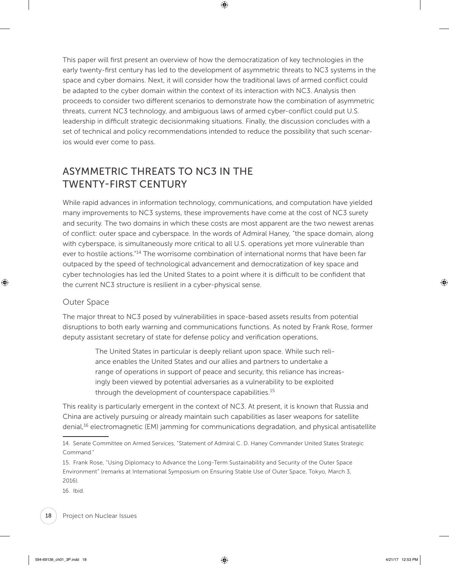This paper will first present an overview of how the democratization of key technologies in the early twenty-first century has led to the development of asymmetric threats to NC3 systems in the space and cyber domains. Next, it will consider how the traditional laws of armed conflict could be adapted to the cyber domain within the context of its interaction with NC3. Analysis then proceeds to consider two different scenarios to demonstrate how the combination of asymmetric threats, current NC3 technology, and ambiguous laws of armed cyber-conflict could put U.S. leadership in difficult strategic decisionmaking situations. Finally, the discussion concludes with a set of technical and policy recommendations intended to reduce the possibility that such scenarios would ever come to pass.

## ASYMMETRIC THREATS TO NC3 IN THE TWENTY-FIRST CENTURY

While rapid advances in information technology, communications, and computation have yielded many improvements to NC3 systems, these improvements have come at the cost of NC3 surety and security. The two domains in which these costs are most apparent are the two newest arenas of conflict: outer space and cyberspace. In the words of Admiral Haney, "the space domain, along with cyberspace, is simultaneously more critical to all U.S. operations yet more vulnerable than ever to hostile actions."14 The worrisome combination of international norms that have been far outpaced by the speed of technological advancement and democratization of key space and cyber technologies has led the United States to a point where it is difficult to be confident that the current NC3 structure is resilient in a cyber-physical sense.

## Outer Space

The major threat to NC3 posed by vulnerabilities in space-based assets results from potential disruptions to both early warning and communications functions. As noted by Frank Rose, former deputy assistant secretary of state for defense policy and verification operations,

> The United States in particular is deeply reliant upon space. While such reliance enables the United States and our allies and partners to undertake a range of operations in support of peace and security, this reliance has increasingly been viewed by potential adversaries as a vulnerability to be exploited through the development of counterspace capabilities.<sup>15</sup>

This reality is particularly emergent in the context of NC3. At present, it is known that Russia and China are actively pursuing or already maintain such capabilities as laser weapons for satellite denial,<sup>16</sup> electromagnetic (EM) jamming for communications degradation, and physical antisatellite

16. Ibid.

<sup>14.</sup> Senate Committee on Armed Services, "Statement of Admiral C. D. Haney Commander United States Strategic Command."

<sup>15.</sup> Frank Rose, "Using Diplomacy to Advance the Long-Term Sustainability and Security of the Outer Space Environment" (remarks at International Symposium on Ensuring Stable Use of Outer Space, Tokyo, March 3, 2016).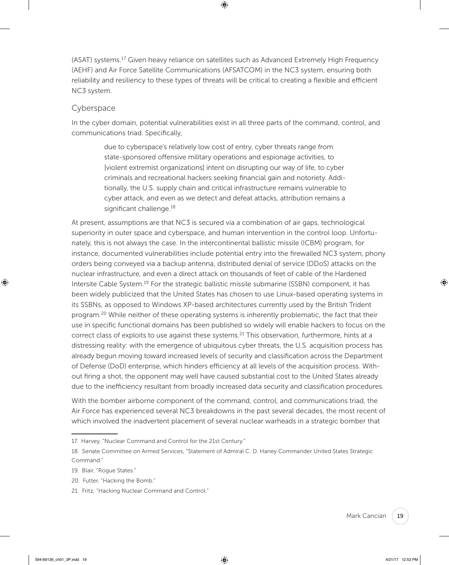(ASAT) systems.<sup>17</sup> Given heavy reliance on satellites such as Advanced Extremely High Frequency (AEHF) and Air Force Satellite Communications (AFSATCOM) in the NC3 system, ensuring both reliability and resiliency to these types of threats will be critical to creating a flexible and efficient NC3 system.

#### Cyberspace

In the cyber domain, potential vulnerabilities exist in all three parts of the command, control, and communications triad. Specifically,

> due to cyberspace's relatively low cost of entry, cyber threats range from state-sponsored offensive military operations and espionage activities, to [violent extremist organizations] intent on disrupting our way of life, to cyber criminals and recreational hackers seeking financial gain and notoriety. Additionally, the U.S. supply chain and critical infrastructure remains vulnerable to cyber attack, and even as we detect and defeat attacks, attribution remains a significant challenge.<sup>18</sup>

At present, assumptions are that NC3 is secured via a combination of air gaps, technological superiority in outer space and cyberspace, and human intervention in the control loop. Unfortunately, this is not always the case. In the intercontinental ballistic missile (ICBM) program, for instance, documented vulnerabilities include potential entry into the firewalled NC3 system, phony orders being conveyed via a backup antenna, distributed denial of service (DDoS) attacks on the nuclear infrastructure, and even a direct attack on thousands of feet of cable of the Hardened Intersite Cable System.<sup>19</sup> For the strategic ballistic missile submarine (SSBN) component, it has been widely publicized that the United States has chosen to use Linux-based operating systems in its SSBNs, as opposed to Windows XP-based architectures currently used by the British Trident program.<sup>20</sup> While neither of these operating systems is inherently problematic, the fact that their use in specific functional domains has been published so widely will enable hackers to focus on the correct class of exploits to use against these systems.<sup>21</sup> This observation, furthermore, hints at a distressing reality: with the emergence of ubiquitous cyber threats, the U.S. acquisition process has already begun moving toward increased levels of security and classification across the Department of Defense (DoD) enterprise, which hinders efficiency at all levels of the acquisition process. Without firing a shot, the opponent may well have caused substantial cost to the United States already due to the inefficiency resultant from broadly increased data security and classification procedures.

With the bomber airborne component of the command, control, and communications triad, the Air Force has experienced several NC3 breakdowns in the past several decades, the most recent of which involved the inadvertent placement of several nuclear warheads in a strategic bomber that

- 20. Futter, "Hacking the Bomb."
- 21. Fritz, "Hacking Nuclear Command and Control."

<sup>17.</sup> Harvey, "Nuclear Command and Control for the 21st Century."

<sup>18.</sup> Senate Committee on Armed Services, "Statement of Admiral C. D. Haney Commander United States Strategic Command."

<sup>19.</sup> Blair, "Rogue States."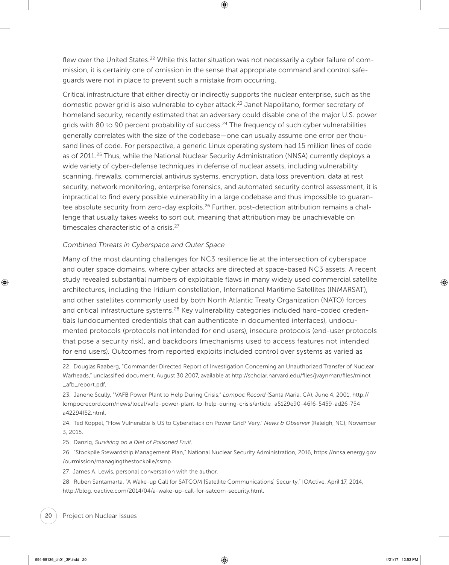flew over the United States.<sup>22</sup> While this latter situation was not necessarily a cyber failure of commission, it is certainly one of omission in the sense that appropriate command and control safeguards were not in place to prevent such a mistake from occurring.

Critical infrastructure that either directly or indirectly supports the nuclear enterprise, such as the domestic power grid is also vulnerable to cyber attack.<sup>23</sup> Janet Napolitano, former secretary of homeland security, recently estimated that an adversary could disable one of the major U.S. power grids with 80 to 90 percent probability of success.<sup>24</sup> The frequency of such cyber vulnerabilities generally correlates with the size of the codebase—one can usually assume one error per thousand lines of code. For perspective, a generic Linux operating system had 15 million lines of code as of 2011.<sup>25</sup> Thus, while the National Nuclear Security Administration (NNSA) currently deploys a wide variety of cyber-defense techniques in defense of nuclear assets, including vulnerability scanning, firewalls, commercial antivirus systems, encryption, data loss prevention, data at rest security, network monitoring, enterprise forensics, and automated security control assessment, it is impractical to find every possible vulnerability in a large codebase and thus impossible to guarantee absolute security from zero-day exploits.<sup>26</sup> Further, post-detection attribution remains a challenge that usually takes weeks to sort out, meaning that attribution may be unachievable on timescales characteristic of a crisis.<sup>27</sup>

#### *Combined Threats in Cyberspace and Outer Space*

Many of the most daunting challenges for NC3 resilience lie at the intersection of cyberspace and outer space domains, where cyber attacks are directed at space-based NC3 assets. A recent study revealed substantial numbers of exploitable flaws in many widely used commercial satellite architectures, including the Iridium constellation, International Maritime Satellites (INMARSAT), and other satellites commonly used by both North Atlantic Treaty Organization (NATO) forces and critical infrastructure systems.<sup>28</sup> Key vulnerability categories included hard-coded credentials (undocumented credentials that can authenticate in documented interfaces), undocumented protocols (protocols not intended for end users), insecure protocols (end-user protocols that pose a security risk), and backdoors (mechanisms used to access features not intended for end users). Outcomes from reported exploits included control over systems as varied as

<sup>22.</sup> Douglas Raaberg, "Commander Directed Report of Investigation Concerning an Unauthorized Transfer of Nuclear Warheads," unclassified document, August 30 2007, available at [http://scholar.harvard.edu/files/jvaynman/files/minot](http://scholar.harvard.edu/files/jvaynman/files/minot_afb_report.pdf) [\\_afb\\_report.pdf.](http://scholar.harvard.edu/files/jvaynman/files/minot_afb_report.pdf)

<sup>23.</sup> Janene Scully, "VAFB Power Plant to Help During Crisis," *Lompoc Record* (Santa Maria, CA), June 4, 2001, [http://](http://lompocrecord.com/news/local/vafb-power-plant-to-help-during-crisis/article_a5129e90-46f6-5459-ad26-754a42294f52.html) [lompocrecord.com/news/local/vafb-power-plant-to-help-during-crisis/article\\_a5129e90-46f6-5459-ad26-754](http://lompocrecord.com/news/local/vafb-power-plant-to-help-during-crisis/article_a5129e90-46f6-5459-ad26-754a42294f52.html) [a42294f52.html.](http://lompocrecord.com/news/local/vafb-power-plant-to-help-during-crisis/article_a5129e90-46f6-5459-ad26-754a42294f52.html)

<sup>24.</sup> Ted Koppel, "How Vulnerable Is US to Cyberattack on Power Grid? Very," *News & Observer* (Raleigh, NC), November 3, 2015.

<sup>25.</sup> Danzig, *Surviving on a Diet of Poisoned Fruit*.

<sup>26. &</sup>quot;Stockpile Stewardship Management Plan," National Nuclear Security Administration, 2016, [https://nnsa.energy.gov](https://nnsa.energy.gov/ourmission/managingthestockpile/ssmp) [/ourmission/managingthestockpile/ssmp](https://nnsa.energy.gov/ourmission/managingthestockpile/ssmp).

<sup>27.</sup> James A. Lewis, personal conversation with the author.

<sup>28.</sup> Ruben Santamarta, "A Wake-up Call for SATCOM [Satellite Communications] Security," IOActive, April 17, 2014, [http://blog.ioactive.com/2014/04/a-wake-up-call-for-satcom-security.html.](http://blog.ioactive.com/2014/04/a-wake-up-call-for-satcom-security.html)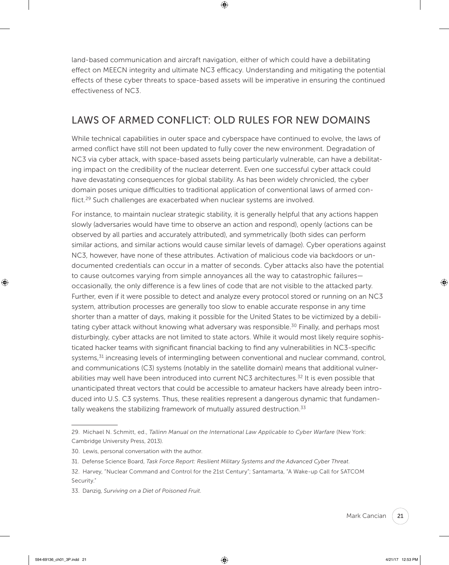land-based communication and aircraft navigation, either of which could have a debilitating effect on MEECN integrity and ultimate NC3 efficacy. Understanding and mitigating the potential effects of these cyber threats to space-based assets will be imperative in ensuring the continued effectiveness of NC3.

## LAWS OF ARMED CONFLICT: OLD RULES FOR NEW DOMAINS

While technical capabilities in outer space and cyberspace have continued to evolve, the laws of armed conflict have still not been updated to fully cover the new environment. Degradation of NC3 via cyber attack, with space-based assets being particularly vulnerable, can have a debilitating impact on the credibility of the nuclear deterrent. Even one successful cyber attack could have devastating consequences for global stability. As has been widely chronicled, the cyber domain poses unique difficulties to traditional application of conventional laws of armed conflict.<sup>29</sup> Such challenges are exacerbated when nuclear systems are involved.

For instance, to maintain nuclear strategic stability, it is generally helpful that any actions happen slowly (adversaries would have time to observe an action and respond), openly (actions can be observed by all parties and accurately attributed), and symmetrically (both sides can perform similar actions, and similar actions would cause similar levels of damage). Cyber operations against NC3, however, have none of these attributes. Activation of malicious code via backdoors or undocumented credentials can occur in a matter of seconds. Cyber attacks also have the potential to cause outcomes varying from simple annoyances all the way to catastrophic failures occasionally, the only difference is a few lines of code that are not visible to the attacked party. Further, even if it were possible to detect and analyze every protocol stored or running on an NC3 system, attribution processes are generally too slow to enable accurate response in any time shorter than a matter of days, making it possible for the United States to be victimized by a debilitating cyber attack without knowing what adversary was responsible.<sup>30</sup> Finally, and perhaps most disturbingly, cyber attacks are not limited to state actors. While it would most likely require sophisticated hacker teams with significant financial backing to find any vulnerabilities in NC3-specific systems,<sup>31</sup> increasing levels of intermingling between conventional and nuclear command, control, and communications (C3) systems (notably in the satellite domain) means that additional vulnerabilities may well have been introduced into current NC3 architectures.<sup>32</sup> It is even possible that unanticipated threat vectors that could be accessible to amateur hackers have already been introduced into U.S. C3 systems. Thus, these realities represent a dangerous dynamic that fundamentally weakens the stabilizing framework of mutually assured destruction. $33$ 

<sup>29.</sup> Michael N. Schmitt, ed., *Tallinn Manual on the International Law Applicable to Cyber Warfare* (New York: Cambridge University Press, 2013).

<sup>30.</sup> Lewis, personal conversation with the author.

<sup>31.</sup> Defense Science Board, *Task Force Report: Resilient Military Systems and the Advanced Cyber Threat*.

<sup>32.</sup> Harvey, "Nuclear Command and Control for the 21st Century"; Santamarta, "A Wake-up Call for SATCOM Security."

<sup>33.</sup> Danzig, *Surviving on a Diet of Poisoned Fruit*.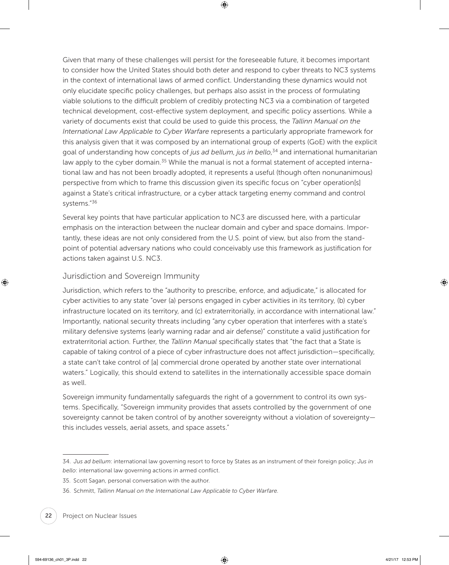Given that many of these challenges will persist for the foreseeable future, it becomes important to consider how the United States should both deter and respond to cyber threats to NC3 systems in the context of international laws of armed conflict. Understanding these dynamics would not only elucidate specific policy challenges, but perhaps also assist in the process of formulating viable solutions to the difficult problem of credibly protecting NC3 via a combination of targeted technical development, cost-effective system deployment, and specific policy assertions. While a variety of documents exist that could be used to guide this process, the *Tallinn Manual on the International Law Applicable to Cyber Warfare* represents a particularly appropriate framework for this analysis given that it was composed by an international group of experts (GoE) with the explicit goal of understanding how concepts of *jus ad bellum*, *jus in bello*, 34 and international humanitarian law apply to the cyber domain.<sup>35</sup> While the manual is not a formal statement of accepted international law and has not been broadly adopted, it represents a useful (though often nonunanimous) perspective from which to frame this discussion given its specific focus on "cyber operation[s] against a State's critical infrastructure, or a cyber attack targeting enemy command and control systems."<sup>36</sup>

Several key points that have particular application to NC3 are discussed here, with a particular emphasis on the interaction between the nuclear domain and cyber and space domains. Importantly, these ideas are not only considered from the U.S. point of view, but also from the standpoint of potential adversary nations who could conceivably use this framework as justification for actions taken against U.S. NC3.

## Jurisdiction and Sovereign Immunity

Jurisdiction, which refers to the "authority to prescribe, enforce, and adjudicate," is allocated for cyber activities to any state "over (a) persons engaged in cyber activities in its territory, (b) cyber infrastructure located on its territory, and (c) extraterritorially, in accordance with international law." Importantly, national security threats including "any cyber operation that interferes with a state's military defensive systems (early warning radar and air defense)" constitute a valid justification for extraterritorial action. Further, the *Tallinn Manual* specifically states that "the fact that a State is capable of taking control of a piece of cyber infrastructure does not affect jurisdiction—specifically, a state can't take control of [a] commercial drone operated by another state over international waters." Logically, this should extend to satellites in the internationally accessible space domain as well.

Sovereign immunity fundamentally safeguards the right of a government to control its own systems. Specifically, "Sovereign immunity provides that assets controlled by the government of one sovereignty cannot be taken control of by another sovereignty without a violation of sovereignty this includes vessels, aerial assets, and space assets."

<sup>34.</sup> *Jus ad bellum*: international law governing resort to force by States as an instrument of their foreign policy; *Jus in bello*: international law governing actions in armed conflict.

<sup>35.</sup> Scott Sagan, personal conversation with the author.

<sup>36.</sup> Schmitt, *Tallinn Manual on the International Law Applicable to Cyber Warfare*.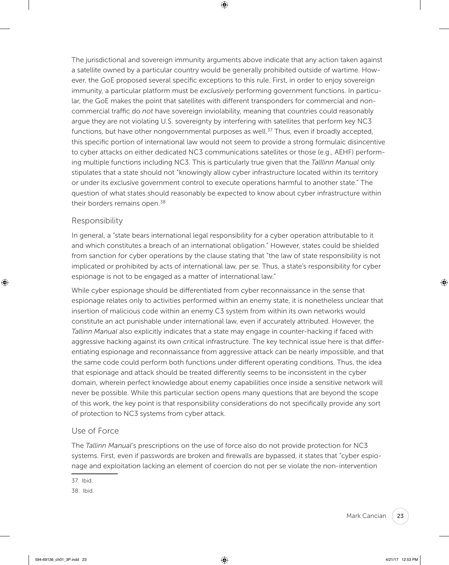The jurisdictional and sovereign immunity arguments above indicate that any action taken against a satellite owned by a particular country would be generally prohibited outside of wartime. However, the GoE proposed several specific exceptions to this rule. First, in order to enjoy sovereign immunity, a particular platform must be *exclusively* performing government functions. In particular, the GoE makes the point that satellites with different transponders for commercial and noncommercial traffic do *not* have sovereign inviolability, meaning that countries could reasonably argue they are not violating U.S. sovereignty by interfering with satellites that perform key NC3 functions, but have other nongovernmental purposes as well.<sup>37</sup> Thus, even if broadly accepted, this specific portion of international law would not seem to provide a strong formulaic disincentive to cyber attacks on either dedicated NC3 communications satellites or those (e.g., AEHF) performing multiple functions including NC3. This is particularly true given that the *Talllinn Manual* only stipulates that a state should not "knowingly allow cyber infrastructure located within its territory or under its exclusive government control to execute operations harmful to another state." The question of what states should reasonably be expected to know about cyber infrastructure within their borders remains open.<sup>38</sup>

## Responsibility

In general, a "state bears international legal responsibility for a cyber operation attributable to it and which constitutes a breach of an international obligation." However, states could be shielded from sanction for cyber operations by the clause stating that "the law of state responsibility is not implicated or prohibited by acts of international law, per se. Thus, a state's responsibility for cyber espionage is not to be engaged as a matter of international law."

While cyber espionage should be differentiated from cyber reconnaissance in the sense that espionage relates only to activities performed within an enemy state, it is nonetheless unclear that insertion of malicious code within an enemy C3 system from within its own networks would constitute an act punishable under international law, even if accurately attributed. However, the *Tallinn Manual* also explicitly indicates that a state may engage in counter-hacking if faced with aggressive hacking against its own critical infrastructure. The key technical issue here is that differentiating espionage and reconnaissance from aggressive attack can be nearly impossible, and that the same code could perform both functions under different operating conditions. Thus, the idea that espionage and attack should be treated differently seems to be inconsistent in the cyber domain, wherein perfect knowledge about enemy capabilities once inside a sensitive network will never be possible. While this particular section opens many questions that are beyond the scope of this work, the key point is that responsibility considerations do not specifically provide any sort of protection to NC3 systems from cyber attack.

## Use of Force

The *Tallinn Manual*'s prescriptions on the use of force also do not provide protection for NC3 systems. First, even if passwords are broken and firewalls are bypassed, it states that "cyber espionage and exploitation lacking an element of coercion do not per se violate the non-intervention

<sup>37.</sup> Ibid.

<sup>38.</sup> Ibid.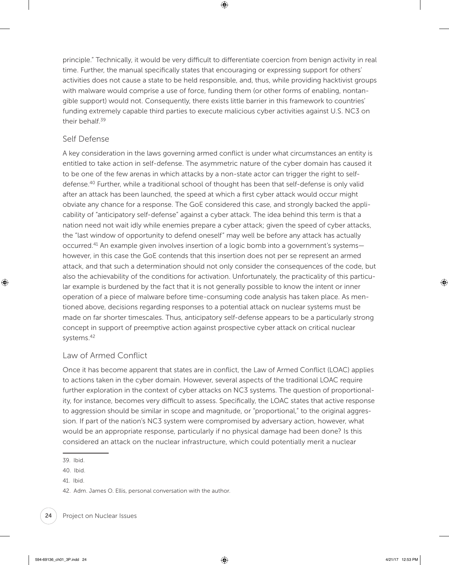principle." Technically, it would be very difficult to differentiate coercion from benign activity in real time. Further, the manual specifically states that encouraging or expressing support for others' activities does not cause a state to be held responsible, and, thus, while providing hacktivist groups with malware would comprise a use of force, funding them (or other forms of enabling, nontangible support) would not. Consequently, there exists little barrier in this framework to countries' funding extremely capable third parties to execute malicious cyber activities against U.S. NC3 on their behalf.<sup>39</sup>

### Self Defense

A key consideration in the laws governing armed conflict is under what circumstances an entity is entitled to take action in self-defense. The asymmetric nature of the cyber domain has caused it to be one of the few arenas in which attacks by a non-state actor can trigger the right to selfdefense.<sup>40</sup> Further, while a traditional school of thought has been that self-defense is only valid after an attack has been launched, the speed at which a first cyber attack would occur might obviate any chance for a response. The GoE considered this case, and strongly backed the applicability of "anticipatory self-defense" against a cyber attack. The idea behind this term is that a nation need not wait idly while enemies prepare a cyber attack; given the speed of cyber attacks, the "last window of opportunity to defend oneself" may well be before any attack has actually occurred.<sup>41</sup> An example given involves insertion of a logic bomb into a government's systems however, in this case the GoE contends that this insertion does not per se represent an armed attack, and that such a determination should not only consider the consequences of the code, but also the achievability of the conditions for activation. Unfortunately, the practicality of this particular example is burdened by the fact that it is not generally possible to know the intent or inner operation of a piece of malware before time-consuming code analysis has taken place. As mentioned above, decisions regarding responses to a potential attack on nuclear systems must be made on far shorter timescales. Thus, anticipatory self-defense appears to be a particularly strong concept in support of preemptive action against prospective cyber attack on critical nuclear systems.42

## Law of Armed Conflict

Once it has become apparent that states are in conflict, the Law of Armed Conflict (LOAC) applies to actions taken in the cyber domain. However, several aspects of the traditional LOAC require further exploration in the context of cyber attacks on NC3 systems. The question of proportionality, for instance, becomes very difficult to assess. Specifically, the LOAC states that active response to aggression should be similar in scope and magnitude, or "proportional," to the original aggression. If part of the nation's NC3 system were compromised by adversary action, however, what would be an appropriate response, particularly if no physical damage had been done? Is this considered an attack on the nuclear infrastructure, which could potentially merit a nuclear

<sup>39.</sup> Ibid.

<sup>40.</sup> Ibid.

<sup>41.</sup> Ibid.

<sup>42.</sup> Adm. James O. Ellis, personal conversation with the author.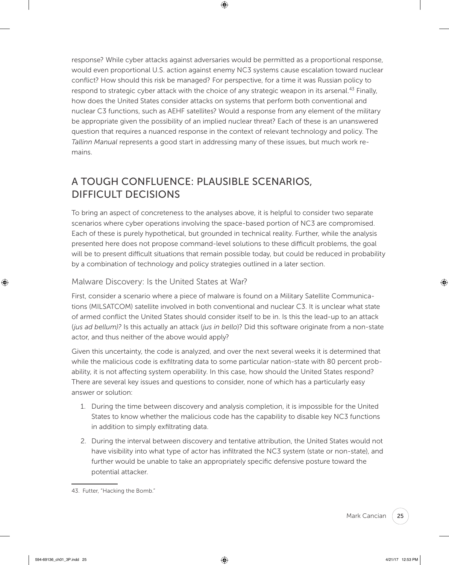response? While cyber attacks against adversaries would be permitted as a proportional response, would even proportional U.S. action against enemy NC3 systems cause escalation toward nuclear conflict? How should this risk be managed? For perspective, for a time it was Russian policy to respond to strategic cyber attack with the choice of any strategic weapon in its arsenal.<sup>43</sup> Finally, how does the United States consider attacks on systems that perform both conventional and nuclear C3 functions, such as AEHF satellites? Would a response from any element of the military be appropriate given the possibility of an implied nuclear threat? Each of these is an unanswered question that requires a nuanced response in the context of relevant technology and policy. The *Tallinn Manual* represents a good start in addressing many of these issues, but much work remains.

## A TOUGH CONFLUENCE: PLAUSIBLE SCENARIOS, DIFFICULT DECISIONS

To bring an aspect of concreteness to the analyses above, it is helpful to consider two separate scenarios where cyber operations involving the space-based portion of NC3 are compromised. Each of these is purely hypothetical, but grounded in technical reality. Further, while the analysis presented here does not propose command-level solutions to these difficult problems, the goal will be to present difficult situations that remain possible today, but could be reduced in probability by a combination of technology and policy strategies outlined in a later section.

## Malware Discovery: Is the United States at War?

First, consider a scenario where a piece of malware is found on a Military Satellite Communications (MILSATCOM) satellite involved in both conventional and nuclear C3. It is unclear what state of armed conflict the United States should consider itself to be in. Is this the lead-up to an attack (*jus ad bellum)?* Is this actually an attack (*jus in bello*)? Did this software originate from a non-state actor, and thus neither of the above would apply?

Given this uncertainty, the code is analyzed, and over the next several weeks it is determined that while the malicious code is exfiltrating data to some particular nation-state with 80 percent probability, it is not affecting system operability. In this case, how should the United States respond? There are several key issues and questions to consider, none of which has a particularly easy answer or solution:

- 1. During the time between discovery and analysis completion, it is impossible for the United States to know whether the malicious code has the capability to disable key NC3 functions in addition to simply exfiltrating data.
- 2. During the interval between discovery and tentative attribution, the United States would not have visibility into what type of actor has infiltrated the NC3 system (state or non-state), and further would be unable to take an appropriately specific defensive posture toward the potential attacker.

<sup>43.</sup> Futter, "Hacking the Bomb."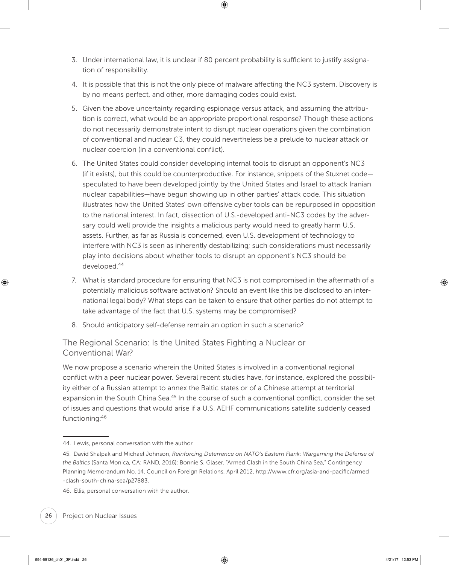- 3. Under international law, it is unclear if 80 percent probability is sufficient to justify assignation of responsibility.
- 4. It is possible that this is not the only piece of malware affecting the NC3 system. Discovery is by no means perfect, and other, more damaging codes could exist.
- 5. Given the above uncertainty regarding espionage versus attack, and assuming the attribution is correct, what would be an appropriate proportional response? Though these actions do not necessarily demonstrate intent to disrupt nuclear operations given the combination of conventional and nuclear C3, they could nevertheless be a prelude to nuclear attack or nuclear coercion (in a conventional conflict).
- 6. The United States could consider developing internal tools to disrupt an opponent's NC3 (if it exists), but this could be counterproductive. For instance, snippets of the Stuxnet code speculated to have been developed jointly by the United States and Israel to attack Iranian nuclear capabilities—have begun showing up in other parties' attack code. This situation illustrates how the United States' own offensive cyber tools can be repurposed in opposition to the national interest. In fact, dissection of U.S.-developed anti-NC3 codes by the adversary could well provide the insights a malicious party would need to greatly harm U.S. assets. Further, as far as Russia is concerned, even U.S. development of technology to interfere with NC3 is seen as inherently destabilizing; such considerations must necessarily play into decisions about whether tools to disrupt an opponent's NC3 should be developed.44
- 7. What is standard procedure for ensuring that NC3 is not compromised in the aftermath of a potentially malicious software activation? Should an event like this be disclosed to an international legal body? What steps can be taken to ensure that other parties do not attempt to take advantage of the fact that U.S. systems may be compromised?
- 8. Should anticipatory self-defense remain an option in such a scenario?

The Regional Scenario: Is the United States Fighting a Nuclear or Conventional War?

We now propose a scenario wherein the United States is involved in a conventional regional conflict with a peer nuclear power. Several recent studies have, for instance, explored the possibility either of a Russian attempt to annex the Baltic states or of a Chinese attempt at territorial expansion in the South China Sea.<sup>45</sup> In the course of such a conventional conflict, consider the set of issues and questions that would arise if a U.S. AEHF communications satellite suddenly ceased functioning:46

<sup>44.</sup> Lewis, personal conversation with the author.

<sup>45.</sup> David Shalpak and Michael Johnson, *Reinforcing Deterrence on NATO's Eastern Flank: Wargaming the Defense of the Baltics* (Santa Monica, CA: RAND, 2016); Bonnie S. Glaser, "Armed Clash in the South China Sea," Contingency Planning Memorandum No. 14, Council on Foreign Relations, April 2012, [http://www.cfr.org/asia-and-pacific/armed](http://www.cfr.org/asia-and-pacific/armed-clash-south-china-sea/p27883) [-clash-south-china-sea/p27883.](http://www.cfr.org/asia-and-pacific/armed-clash-south-china-sea/p27883)

<sup>46.</sup> Ellis, personal conversation with the author.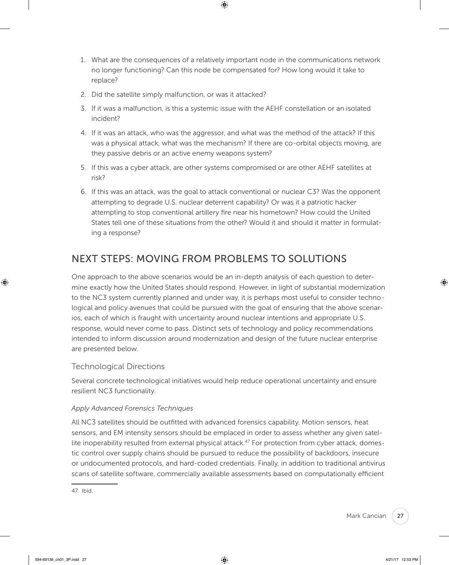- 1. What are the consequences of a relatively important node in the communications network no longer functioning? Can this node be compensated for? How long would it take to replace?
- 2. Did the satellite simply malfunction, or was it attacked?
- 3. If it was a malfunction, is this a systemic issue with the AEHF constellation or an isolated incident?
- 4. If it was an attack, who was the aggressor, and what was the method of the attack? If this was a physical attack, what was the mechanism? If there are co-orbital objects moving, are they passive debris or an active enemy weapons system?
- 5. If this was a cyber attack, are other systems compromised or are other AEHF satellites at risk?
- 6. If this was an attack, was the goal to attack conventional or nuclear C3? Was the opponent attempting to degrade U.S. nuclear deterrent capability? Or was it a patriotic hacker attempting to stop conventional artillery fire near his hometown? How could the United States tell one of these situations from the other? Would it and should it matter in formulating a response?

## NEXT STEPS: MOVING FROM PROBLEMS TO SOLUTIONS

One approach to the above scenarios would be an in-depth analysis of each question to determine exactly how the United States should respond. However, in light of substantial modernization to the NC3 system currently planned and under way, it is perhaps most useful to consider technological and policy avenues that could be pursued with the goal of ensuring that the above scenarios, each of which is fraught with uncertainty around nuclear intentions and appropriate U.S. response, would never come to pass. Distinct sets of technology and policy recommendations intended to inform discussion around modernization and design of the future nuclear enterprise are presented below.

## Technological Directions

Several concrete technological initiatives would help reduce operational uncertainty and ensure resilient NC3 functionality.

## *Apply Advanced Forensics Techniques*

All NC3 satellites should be outfitted with advanced forensics capability. Motion sensors, heat sensors, and EM intensity sensors should be emplaced in order to assess whether any given satellite inoperability resulted from external physical attack.<sup>47</sup> For protection from cyber attack, domestic control over supply chains should be pursued to reduce the possibility of backdoors, insecure or undocumented protocols, and hard-coded credentials. Finally, in addition to traditional antivirus scans of satellite software, commercially available assessments based on computationally efficient

<sup>47.</sup> Ibid.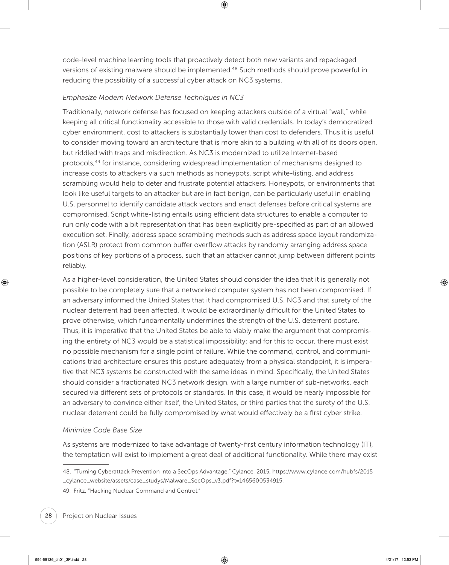code-level machine learning tools that proactively detect both new variants and repackaged versions of existing malware should be implemented.<sup>48</sup> Such methods should prove powerful in reducing the possibility of a successful cyber attack on NC3 systems.

#### *Emphasize Modern Network Defense Techniques in NC3*

Traditionally, network defense has focused on keeping attackers outside of a virtual "wall," while keeping all critical functionality accessible to those with valid credentials. In today's democratized cyber environment, cost to attackers is substantially lower than cost to defenders. Thus it is useful to consider moving toward an architecture that is more akin to a building with all of its doors open, but riddled with traps and misdirection. As NC3 is modernized to utilize Internet-based protocols,<sup>49</sup> for instance, considering widespread implementation of mechanisms designed to increase costs to attackers via such methods as honeypots, script white-listing, and address scrambling would help to deter and frustrate potential attackers. Honeypots, or environments that look like useful targets to an attacker but are in fact benign, can be particularly useful in enabling U.S. personnel to identify candidate attack vectors and enact defenses before critical systems are compromised. Script white-listing entails using efficient data structures to enable a computer to run only code with a bit representation that has been explicitly pre-specified as part of an allowed execution set. Finally, address space scrambling methods such as address space layout randomization (ASLR) protect from common buffer overflow attacks by randomly arranging address space positions of key portions of a process, such that an attacker cannot jump between different points reliably.

As a higher-level consideration, the United States should consider the idea that it is generally not possible to be completely sure that a networked computer system has not been compromised. If an adversary informed the United States that it had compromised U.S. NC3 and that surety of the nuclear deterrent had been affected, it would be extraordinarily difficult for the United States to prove otherwise, which fundamentally undermines the strength of the U.S. deterrent posture. Thus, it is imperative that the United States be able to viably make the argument that compromising the entirety of NC3 would be a statistical impossibility; and for this to occur, there must exist no possible mechanism for a single point of failure. While the command, control, and communications triad architecture ensures this posture adequately from a physical standpoint, it is imperative that NC3 systems be constructed with the same ideas in mind. Specifically, the United States should consider a fractionated NC3 network design, with a large number of sub-networks, each secured via different sets of protocols or standards. In this case, it would be nearly impossible for an adversary to convince either itself, the United States, or third parties that the surety of the U.S. nuclear deterrent could be fully compromised by what would effectively be a first cyber strike.

## *Minimize Code Base Size*

As systems are modernized to take advantage of twenty-first century information technology (IT), the temptation will exist to implement a great deal of additional functionality. While there may exist

49. Fritz, "Hacking Nuclear Command and Control."

<sup>48. &</sup>quot;Turning Cyberattack Prevention into a SecOps Advantage," Cylance, 2015, [https://www.cylance.com/hubfs/2015](https://www.cylance.com/hubfs/2015_cylance_website/assets/case_studys/Malware_SecOps_v3.pdf?t=1465600534915) [\\_cylance\\_website/assets/case\\_studys/Malware\\_SecOps\\_v3.pdf?t=1465600534915.](https://www.cylance.com/hubfs/2015_cylance_website/assets/case_studys/Malware_SecOps_v3.pdf?t=1465600534915)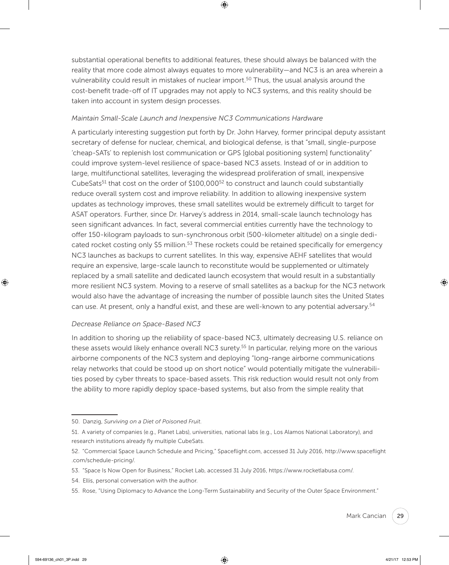substantial operational benefits to additional features, these should always be balanced with the reality that more code almost always equates to more vulnerability—and NC3 is an area wherein a vulnerability could result in mistakes of nuclear import.<sup>50</sup> Thus, the usual analysis around the cost-benefit trade-off of IT upgrades may not apply to NC3 systems, and this reality should be taken into account in system design processes.

#### *Maintain Small-Scale Launch and Inexpensive NC3 Communications Hardware*

A particularly interesting suggestion put forth by Dr. John Harvey, former principal deputy assistant secretary of defense for nuclear, chemical, and biological defense, is that "small, single-purpose 'cheap-SATs' to replenish lost communication or GPS [global positioning system] functionality" could improve system-level resilience of space-based NC3 assets. Instead of or in addition to large, multifunctional satellites, leveraging the widespread proliferation of small, inexpensive CubeSats<sup>51</sup> that cost on the order of  $$100,000$ <sup>52</sup> to construct and launch could substantially reduce overall system cost and improve reliability. In addition to allowing inexpensive system updates as technology improves, these small satellites would be extremely difficult to target for ASAT operators. Further, since Dr. Harvey's address in 2014, small-scale launch technology has seen significant advances. In fact, several commercial entities currently have the technology to offer 150-kilogram payloads to sun-synchronous orbit (500-kilometer altitude) on a single dedicated rocket costing only \$5 million.<sup>53</sup> These rockets could be retained specifically for emergency NC3 launches as backups to current satellites. In this way, expensive AEHF satellites that would require an expensive, large-scale launch to reconstitute would be supplemented or ultimately replaced by a small satellite and dedicated launch ecosystem that would result in a substantially more resilient NC3 system. Moving to a reserve of small satellites as a backup for the NC3 network would also have the advantage of increasing the number of possible launch sites the United States can use. At present, only a handful exist, and these are well-known to any potential adversary.<sup>54</sup>

#### *Decrease Reliance on Space-Based NC3*

In addition to shoring up the reliability of space-based NC3, ultimately decreasing U.S. reliance on these assets would likely enhance overall NC3 surety.<sup>55</sup> In particular, relying more on the various airborne components of the NC3 system and deploying "long-range airborne communications relay networks that could be stood up on short notice" would potentially mitigate the vulnerabilities posed by cyber threats to space-based assets. This risk reduction would result not only from the ability to more rapidly deploy space-based systems, but also from the simple reality that

<sup>50.</sup> Danzig, *Surviving on a Diet of Poisoned Fruit*.

<sup>51.</sup> A variety of companies (e.g., Planet Labs), universities, national labs (e.g., Los Alamos National Laboratory), and research institutions already fly multiple CubeSats.

<sup>52. &</sup>quot;Commercial Space Launch Schedule and Pricing," [Spaceflight.com,](http://Spaceflight.com) accessed 31 July 2016, [http://www.spaceflight](http://www.spaceflight.com/schedule-pricing/) [.com/schedule-pricing/](http://www.spaceflight.com/schedule-pricing/).

<sup>53. &</sup>quot;Space Is Now Open for Business," Rocket Lab, accessed 31 July 2016,<https://www.rocketlabusa.com/>.

<sup>54.</sup> Ellis, personal conversation with the author.

<sup>55.</sup> Rose, "Using Diplomacy to Advance the Long-Term Sustainability and Security of the Outer Space Environment."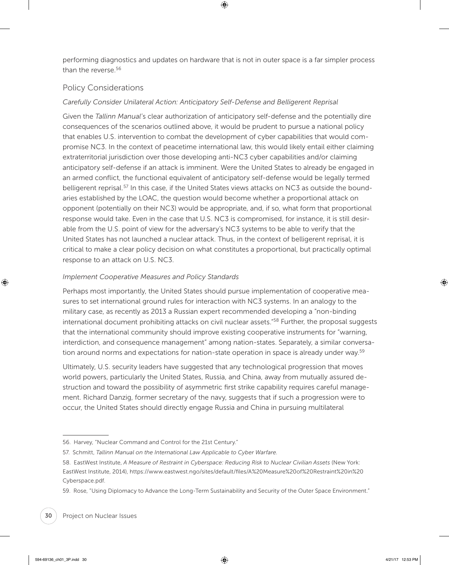performing diagnostics and updates on hardware that is not in outer space is a far simpler process than the reverse.<sup>56</sup>

## Policy Considerations

## *Carefully Consider Unilateral Action: Anticipatory Self-Defense and Belligerent Reprisal*

Given the *Tallinn Manual*'s clear authorization of anticipatory self-defense and the potentially dire consequences of the scenarios outlined above, it would be prudent to pursue a national policy that enables U.S. intervention to combat the development of cyber capabilities that would compromise NC3. In the context of peacetime international law, this would likely entail either claiming extraterritorial jurisdiction over those developing anti-NC3 cyber capabilities and/or claiming anticipatory self-defense if an attack is imminent. Were the United States to already be engaged in an armed conflict, the functional equivalent of anticipatory self-defense would be legally termed belligerent reprisal.<sup>57</sup> In this case, if the United States views attacks on NC3 as outside the boundaries established by the LOAC, the question would become whether a proportional attack on opponent (potentially on their NC3) would be appropriate, and, if so, what form that proportional response would take. Even in the case that U.S. NC3 is compromised, for instance, it is still desirable from the U.S. point of view for the adversary's NC3 systems to be able to verify that the United States has not launched a nuclear attack. Thus, in the context of belligerent reprisal, it is critical to make a clear policy decision on what constitutes a proportional, but practically optimal response to an attack on U.S. NC3.

### *Implement Cooperative Measures and Policy Standards*

Perhaps most importantly, the United States should pursue implementation of cooperative measures to set international ground rules for interaction with NC3 systems. In an analogy to the military case, as recently as 2013 a Russian expert recommended developing a "non-binding international document prohibiting attacks on civil nuclear assets.<sup>"58</sup> Further, the proposal suggests that the international community should improve existing cooperative instruments for "warning, interdiction, and consequence management" among nation-states. Separately, a similar conversation around norms and expectations for nation-state operation in space is already under way.<sup>59</sup>

Ultimately, U.S. security leaders have suggested that any technological progression that moves world powers, particularly the United States, Russia, and China, away from mutually assured destruction and toward the possibility of asymmetric first strike capability requires careful management. Richard Danzig, former secretary of the navy, suggests that if such a progression were to occur, the United States should directly engage Russia and China in pursuing multilateral

<sup>56.</sup> Harvey, "Nuclear Command and Control for the 21st Century."

<sup>57.</sup> Schmitt, *Tallinn Manual on the International Law Applicable to Cyber Warfare*.

<sup>58.</sup> EastWest Institute, *A Measure of Restraint in Cyberspace: Reducing Risk to Nuclear Civilian Assets* (New York: EastWest Institute, 2014), [https://www.eastwest.ngo/sites/default/files/A%20Measure%20of%20Restraint%20in%20](https://www.eastwest.ngo/sites/default/files/A%20Measure%20of%20Restraint%20in%20Cyberspace.pdf) [Cyberspace.pdf.](https://www.eastwest.ngo/sites/default/files/A%20Measure%20of%20Restraint%20in%20Cyberspace.pdf)

<sup>59.</sup> Rose, "Using Diplomacy to Advance the Long-Term Sustainability and Security of the Outer Space Environment."